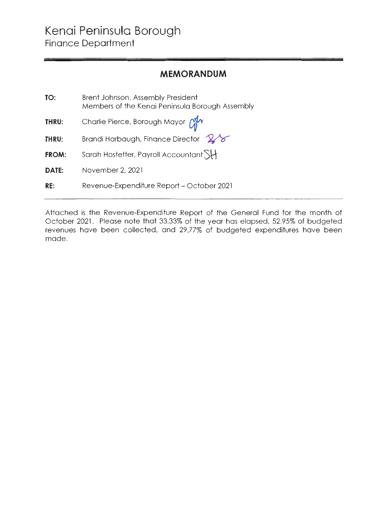## **MEMORANDUM**

| TO:   | Brent Johnson, Assembly President<br>Members of the Kenai Peninsula Borough Assembly |
|-------|--------------------------------------------------------------------------------------|
| THRU: | Charlie Pierce, Borough Mayor Cly                                                    |
| THRU: | Brandi Harbaugh, Finance Director $28$                                               |
| FROM: | Sarah Hostetter, Payroll Accountant                                                  |
| DATE: | November 2, 2021                                                                     |
| RE:   | Revenue-Expenditure Report – October 2021                                            |

Attached is the Revenue-Expenditure Report of the General Fund for the month of October 2021. Please note that 33.33% of the year has elapsed, 52.95% of budgeted revenues have been collected, and 29 .77% of budgeted expenditures have been made.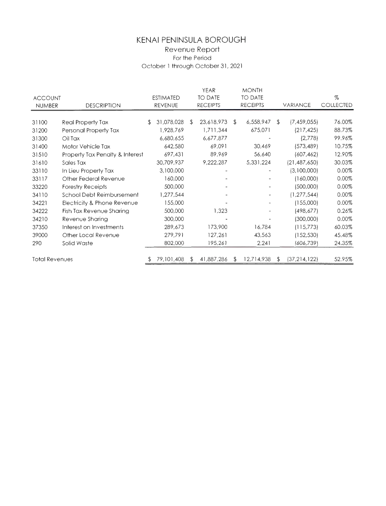## **KENAI PENINSULA BOROUGH**  Revenue Report For the Period October 1 through October 31, 2021

|                                     |                                 |                  |            |                | <b>YEAR</b>     |    | <b>MONTH</b>             |    |                 |           |
|-------------------------------------|---------------------------------|------------------|------------|----------------|-----------------|----|--------------------------|----|-----------------|-----------|
| <b>ACCOUNT</b>                      |                                 | <b>ESTIMATED</b> |            | <b>TO DATE</b> |                 |    | TO DATE                  |    |                 | %         |
| <b>DESCRIPTION</b><br><b>NUMBER</b> |                                 | <b>REVENUE</b>   |            |                | <b>RECEIPTS</b> |    | <b>RECEIPTS</b>          |    | <b>VARIANCE</b> | COLLECTED |
|                                     |                                 |                  |            |                |                 |    |                          |    |                 |           |
| 31100                               | Real Property Tax               | S.               | 31,078,028 | S              | 23,618,973      | £. | 6,558,947                | S. | (7,459,055)     | 76.00%    |
| 31200                               | Personal Property Tax           |                  | 1,928,769  |                | 1,711,344       |    | 675,071                  |    | (217, 425)      | 88.73%    |
| 31300                               | Oil Tax                         |                  | 6,680,655  |                | 6,677,877       |    |                          |    | (2,778)         | 99.96%    |
| 31400                               | Motor Vehicle Tax               |                  | 642,580    |                | 69,091          |    | 30,469                   |    | (573, 489)      | 10.75%    |
| 31510                               | Property Tax Penalty & Interest |                  | 697,431    |                | 89,969          |    | 56,640                   |    | (607, 462)      | 12.90%    |
| 31610                               | Sales Tax                       |                  | 30,709,937 |                | 9,222,287       |    | 5,331,224                |    | (21, 487, 650)  | 30.03%    |
| 33110                               | In Lieu Property Tax            |                  | 3,100,000  |                |                 |    |                          |    | (3,100,000)     | $0.00\%$  |
| 33117                               | Other Federal Revenue           |                  | 160,000    |                |                 |    |                          |    | (160,000)       | 0.00%     |
| 33220                               | <b>Forestry Receipts</b>        |                  | 500,000    |                |                 |    |                          |    | (500,000)       | 0.00%     |
| 34110                               | School Debt Reimbursement       |                  | 1,277,544  |                |                 |    | $\overline{\phantom{0}}$ |    | (1, 277, 544)   | 0.00%     |
| 34221                               | Electricity & Phone Revenue     |                  | 155,000    |                |                 |    | a.                       |    | (155,000)       | 0.00%     |
| 34222                               | Fish Tax Revenue Sharing        |                  | 500,000    |                | 1,323           |    |                          |    | (498, 677)      | 0.26%     |
| 34210                               | Revenue Sharing                 |                  | 300,000    |                |                 |    |                          |    | (300,000)       | 0.00%     |
| 37350                               | Interest on Investments         |                  | 289,673    |                | 173,900         |    | 16,784                   |    | (115,773)       | 60.03%    |
| 39000                               | Other Local Revenue             |                  | 279,791    |                | 127,261         |    | 43,563                   |    | (152, 530)      | 45.48%    |
| 290                                 | Solid Waste                     |                  | 802,000    |                | 195,261         |    | 2,241                    |    | (606,739)       | 24.35%    |
|                                     |                                 |                  |            |                |                 |    |                          |    |                 |           |
| <b>Total Revenues</b>               |                                 |                  | 79,101,408 | S              | 41,887,286      | \$ | 12,714,938               | s. | (37, 214, 122)  | 52.95%    |